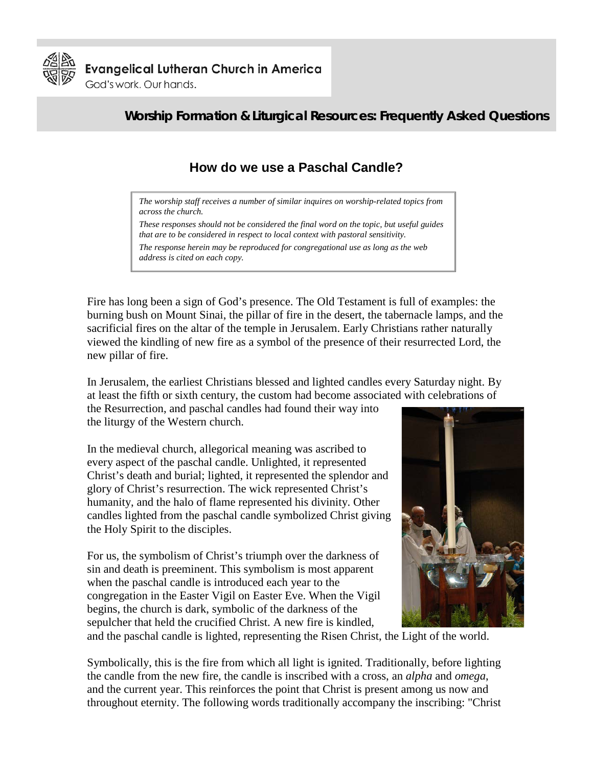

**Evangelical Lutheran Church in America** 

God's work. Our hands.

## **Worship Formation & Liturgical Resources: Frequently Asked Questions**

# **How do we use a Paschal Candle?**

*The worship staff receives a number of similar inquires on worship-related topics from across the church.* 

*These responses should not be considered the final word on the topic, but useful guides that are to be considered in respect to local context with pastoral sensitivity. The response herein may be reproduced for congregational use as long as the web* 

*address is cited on each copy.* 

Fire has long been a sign of God's presence. The Old Testament is full of examples: the burning bush on Mount Sinai, the pillar of fire in the desert, the tabernacle lamps, and the sacrificial fires on the altar of the temple in Jerusalem. Early Christians rather naturally viewed the kindling of new fire as a symbol of the presence of their resurrected Lord, the new pillar of fire.

In Jerusalem, the earliest Christians blessed and lighted candles every Saturday night. By at least the fifth or sixth century, the custom had become associated with celebrations of

the Resurrection, and paschal candles had found their way into the liturgy of the Western church.

In the medieval church, allegorical meaning was ascribed to every aspect of the paschal candle. Unlighted, it represented Christ's death and burial; lighted, it represented the splendor and glory of Christ's resurrection. The wick represented Christ's humanity, and the halo of flame represented his divinity. Other candles lighted from the paschal candle symbolized Christ giving the Holy Spirit to the disciples.

For us, the symbolism of Christ's triumph over the darkness of sin and death is preeminent. This symbolism is most apparent when the paschal candle is introduced each year to the congregation in the Easter Vigil on Easter Eve. When the Vigil begins, the church is dark, symbolic of the darkness of the sepulcher that held the crucified Christ. A new fire is kindled,



and the paschal candle is lighted, representing the Risen Christ, the Light of the world.

Symbolically, this is the fire from which all light is ignited. Traditionally, before lighting the candle from the new fire, the candle is inscribed with a cross, an *alpha* and *omega*, and the current year. This reinforces the point that Christ is present among us now and throughout eternity. The following words traditionally accompany the inscribing: "Christ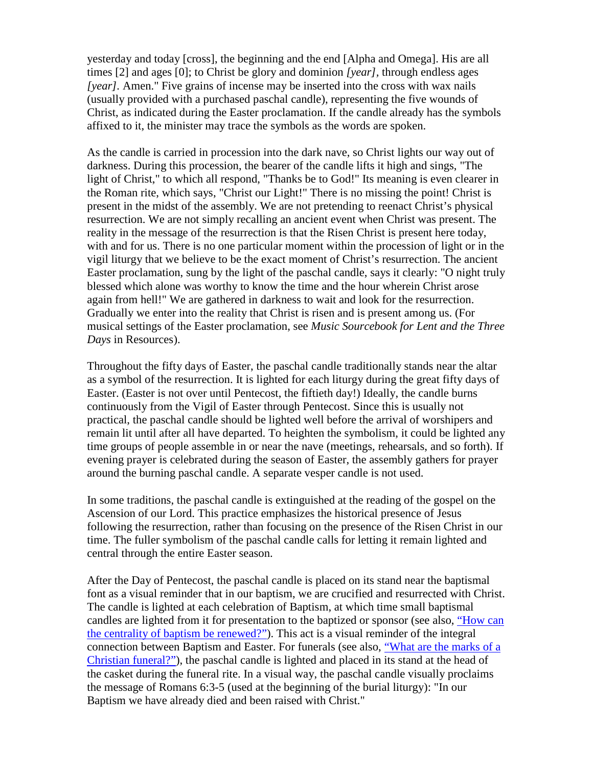yesterday and today [cross], the beginning and the end [Alpha and Omega]. His are all times [2] and ages [0]; to Christ be glory and dominion *[year],* through endless ages *[year].* Amen." Five grains of incense may be inserted into the cross with wax nails (usually provided with a purchased paschal candle), representing the five wounds of Christ, as indicated during the Easter proclamation. If the candle already has the symbols affixed to it, the minister may trace the symbols as the words are spoken.

As the candle is carried in procession into the dark nave, so Christ lights our way out of darkness. During this procession, the bearer of the candle lifts it high and sings, "The light of Christ," to which all respond, "Thanks be to God!" Its meaning is even clearer in the Roman rite, which says, "Christ our Light!" There is no missing the point! Christ is present in the midst of the assembly. We are not pretending to reenact Christ's physical resurrection. We are not simply recalling an ancient event when Christ was present. The reality in the message of the resurrection is that the Risen Christ is present here today, with and for us. There is no one particular moment within the procession of light or in the vigil liturgy that we believe to be the exact moment of Christ's resurrection. The ancient Easter proclamation, sung by the light of the paschal candle, says it clearly: "O night truly blessed which alone was worthy to know the time and the hour wherein Christ arose again from hell!" We are gathered in darkness to wait and look for the resurrection. Gradually we enter into the reality that Christ is risen and is present among us. (For musical settings of the Easter proclamation, see *Music Sourcebook for Lent and the Three Days* in Resources).

Throughout the fifty days of Easter, the paschal candle traditionally stands near the altar as a symbol of the resurrection. It is lighted for each liturgy during the great fifty days of Easter. (Easter is not over until Pentecost, the fiftieth day!) Ideally, the candle burns continuously from the Vigil of Easter through Pentecost. Since this is usually not practical, the paschal candle should be lighted well before the arrival of worshipers and remain lit until after all have departed. To heighten the symbolism, it could be lighted any time groups of people assemble in or near the nave (meetings, rehearsals, and so forth). If evening prayer is celebrated during the season of Easter, the assembly gathers for prayer around the burning paschal candle. A separate vesper candle is not used.

In some traditions, the paschal candle is extinguished at the reading of the gospel on the Ascension of our Lord. This practice emphasizes the historical presence of Jesus following the resurrection, rather than focusing on the presence of the Risen Christ in our time. The fuller symbolism of the paschal candle calls for letting it remain lighted and central through the entire Easter season.

After the Day of Pentecost, the paschal candle is placed on its stand near the baptismal font as a visual reminder that in our baptism, we are crucified and resurrected with Christ. The candle is lighted at each celebration of Baptism, at which time small baptismal candles are lighted from it for presentation to the baptized or sponsor (see also, ["How can](http://www.elca.org/worshipfaq)  [the centrality of baptism be renewed?"\)](http://www.elca.org/worshipfaq). This act is a visual reminder of the integral connection between Baptism and Easter. For funerals (see also, ["What are the marks of a](http://www.elca.org/worshipfaq)  [Christian funeral?"\)](http://www.elca.org/worshipfaq), the paschal candle is lighted and placed in its stand at the head of the casket during the funeral rite. In a visual way, the paschal candle visually proclaims the message of Romans 6:3-5 (used at the beginning of the burial liturgy): "In our Baptism we have already died and been raised with Christ."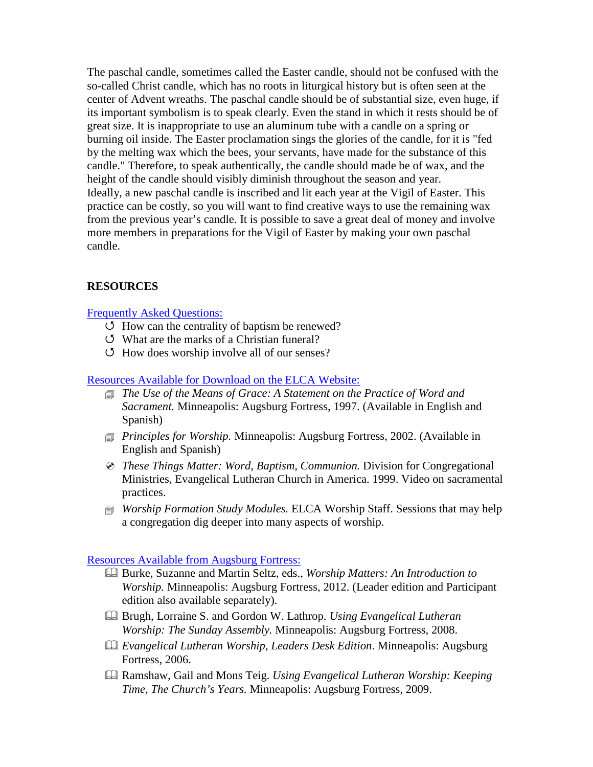The paschal candle, sometimes called the Easter candle, should not be confused with the so-called Christ candle, which has no roots in liturgical history but is often seen at the center of Advent wreaths. The paschal candle should be of substantial size, even huge, if its important symbolism is to speak clearly. Even the stand in which it rests should be of great size. It is inappropriate to use an aluminum tube with a candle on a spring or burning oil inside. The Easter proclamation sings the glories of the candle, for it is "fed by the melting wax which the bees, your servants, have made for the substance of this candle." Therefore, to speak authentically, the candle should made be of wax, and the height of the candle should visibly diminish throughout the season and year. Ideally, a new paschal candle is inscribed and lit each year at the Vigil of Easter. This practice can be costly, so you will want to find creative ways to use the remaining wax from the previous year's candle. It is possible to save a great deal of money and involve more members in preparations for the Vigil of Easter by making your own paschal candle.

### **RESOURCES**

### [Frequently Asked Questions:](http://www.elca.org/worshipfaq)

- $\circ$  How can the centrality of baptism be renewed?
- What are the marks of a Christian funeral?
- $\circ$  How does worship involve all of our senses?

#### [Resources Available for Download on the ELCA Website:](http://www.elca.org/en/Resources/Worship)

- *The Use of the Means of Grace: A Statement on the Practice of Word and Sacrament.* Minneapolis: Augsburg Fortress, 1997. (Available in English and Spanish)
- *Principles for Worship.* Minneapolis: Augsburg Fortress, 2002. (Available in English and Spanish)
- *These Things Matter: Word, Baptism, Communion.* Division for Congregational Ministries, Evangelical Lutheran Church in America. 1999. Video on sacramental practices.
- *Worship Formation Study Modules.* ELCA Worship Staff. Sessions that may help a congregation dig deeper into many aspects of worship.

#### [Resources Available from Augsburg Fortress:](https://www.augsburgfortress.org/)

- Burke, Suzanne and Martin Seltz, eds., *Worship Matters: An Introduction to Worship.* Minneapolis: Augsburg Fortress, 2012. (Leader edition and Participant edition also available separately).
- Brugh, Lorraine S. and Gordon W. Lathrop. *Using Evangelical Lutheran Worship: The Sunday Assembly.* Minneapolis: Augsburg Fortress, 2008.
- *Evangelical Lutheran Worship, Leaders Desk Edition*. Minneapolis: Augsburg Fortress, 2006.
- Ramshaw, Gail and Mons Teig. *Using Evangelical Lutheran Worship: Keeping Time, The Church's Years.* Minneapolis: Augsburg Fortress, 2009.